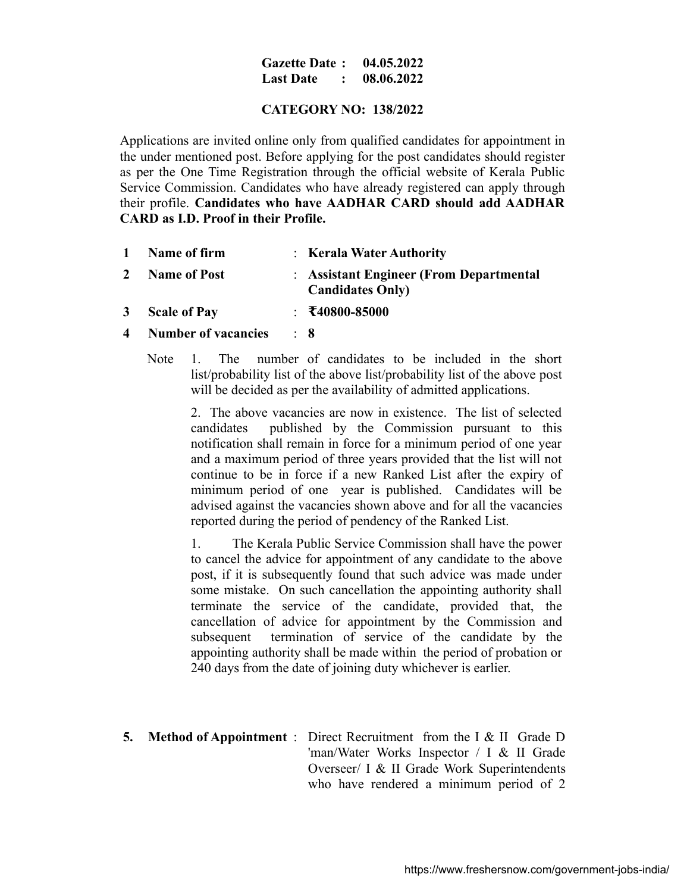### **Gazette Date : 04.05.2022 Last Date : 08.06.2022**

## **CATEGORY NO: 138/2022**

Applications are invited online only from qualified candidates for appointment in the under mentioned post. Before applying for the post candidates should register as per the One Time Registration through the official website of Kerala Public Service Commission. Candidates who have already registered can apply through their profile. **Candidates who have AADHAR CARD should add AADHAR CARD as I.D. Proof in their Profile.**

- **1 Name of firm** : **Kerala Water Authority 2 Name of Post** : **Assistant Engineer (From Departmental Candidates Only) 3 Scale of Pay** : **₹40800-85000**
- **4 Number of vacancies** : **8**
	- Note 1. The number of candidates to be included in the short list/probability list of the above list/probability list of the above post will be decided as per the availability of admitted applications.

2. The above vacancies are now in existence. The list of selected candidates published by the Commission pursuant to this notification shall remain in force for a minimum period of one year and a maximum period of three years provided that the list will not continue to be in force if a new Ranked List after the expiry of minimum period of one year is published. Candidates will be advised against the vacancies shown above and for all the vacancies reported during the period of pendency of the Ranked List.

1. The Kerala Public Service Commission shall have the power to cancel the advice for appointment of any candidate to the above post, if it is subsequently found that such advice was made under some mistake. On such cancellation the appointing authority shall terminate the service of the candidate, provided that, the cancellation of advice for appointment by the Commission and subsequent termination of service of the candidate by the appointing authority shall be made within the period of probation or 240 days from the date of joining duty whichever is earlier.

**5. Method of Appointment** : Direct Recruitment from the I & II Grade D 'man/Water Works Inspector / I & II Grade Overseer/ I & II Grade Work Superintendents who have rendered a minimum period of 2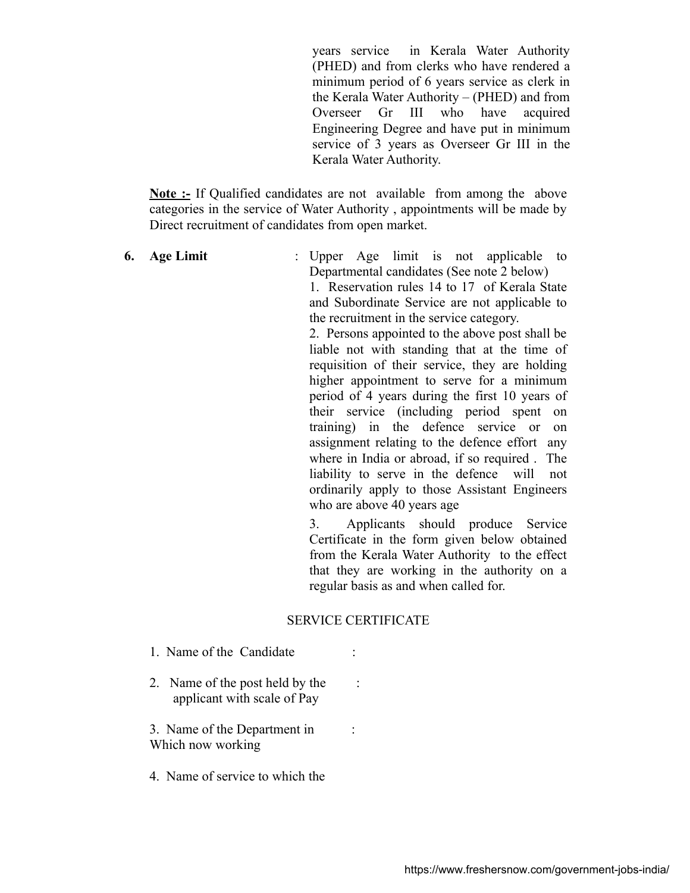years service in Kerala Water Authority (PHED) and from clerks who have rendered a minimum period of 6 years service as clerk in the Kerala Water Authority – (PHED) and from Overseer Gr III who have acquired Engineering Degree and have put in minimum service of 3 years as Overseer Gr III in the Kerala Water Authority.

**Note :-** If Qualified candidates are not available from among the above categories in the service of Water Authority , appointments will be made by Direct recruitment of candidates from open market.

**6. Age Limit** : Upper Age limit is not applicable to Departmental candidates (See note 2 below)

1. Reservation rules 14 to 17 of Kerala State and Subordinate Service are not applicable to the recruitment in the service category.

2. Persons appointed to the above post shall be liable not with standing that at the time of requisition of their service, they are holding higher appointment to serve for a minimum period of 4 years during the first 10 years of their service (including period spent on training) in the defence service or on assignment relating to the defence effort any where in India or abroad, if so required . The liability to serve in the defence will not ordinarily apply to those Assistant Engineers who are above 40 years age

3. Applicants should produce Service Certificate in the form given below obtained from the Kerala Water Authority to the effect that they are working in the authority on a regular basis as and when called for.

## SERVICE CERTIFICATE

- 1. Name of the Candidate :
- 2. Name of the post held by the : applicant with scale of Pay

3. Name of the Department in : Which now working

4. Name of service to which the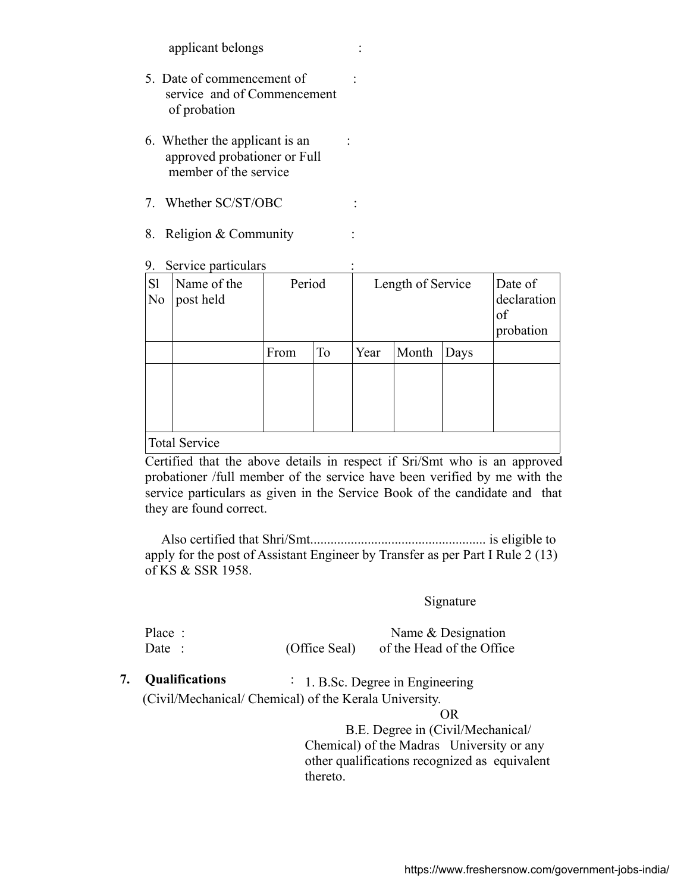applicant belongs :

- 5. Date of commencement of : service and of Commencement of probation
- 6. Whether the applicant is an : approved probationer or Full member of the service
- 7. Whether SC/ST/OBC :
- 8. Religion & Community :
- 9. Service particulars

| S <sub>1</sub><br>N <sub>0</sub> | Name of the<br>post held | Period |           | Length of Service |       |      | Date of<br>declaration<br>of<br>probation |  |
|----------------------------------|--------------------------|--------|-----------|-------------------|-------|------|-------------------------------------------|--|
|                                  |                          | From   | <b>To</b> | Year              | Month | Days |                                           |  |
|                                  |                          |        |           |                   |       |      |                                           |  |
|                                  |                          |        |           |                   |       |      |                                           |  |
|                                  |                          |        |           |                   |       |      |                                           |  |
| <b>Total Service</b>             |                          |        |           |                   |       |      |                                           |  |

Certified that the above details in respect if Sri/Smt who is an approved probationer /full member of the service have been verified by me with the service particulars as given in the Service Book of the candidate and that they are found correct.

 Also certified that Shri/Smt.................................................... is eligible to apply for the post of Assistant Engineer by Transfer as per Part I Rule 2 (13) of KS & SSR 1958.

# Signature

| Place: |               | Name $&$ Designation      |
|--------|---------------|---------------------------|
| Date:  | (Office Seal) | of the Head of the Office |

**7. Qualifications** : 1. B.Sc. Degree in Engineering (Civil/Mechanical/ Chemical) of the Kerala University.

#### OR

 B.E. Degree in (Civil/Mechanical/ Chemical) of the Madras University or any other qualifications recognized as equivalent thereto.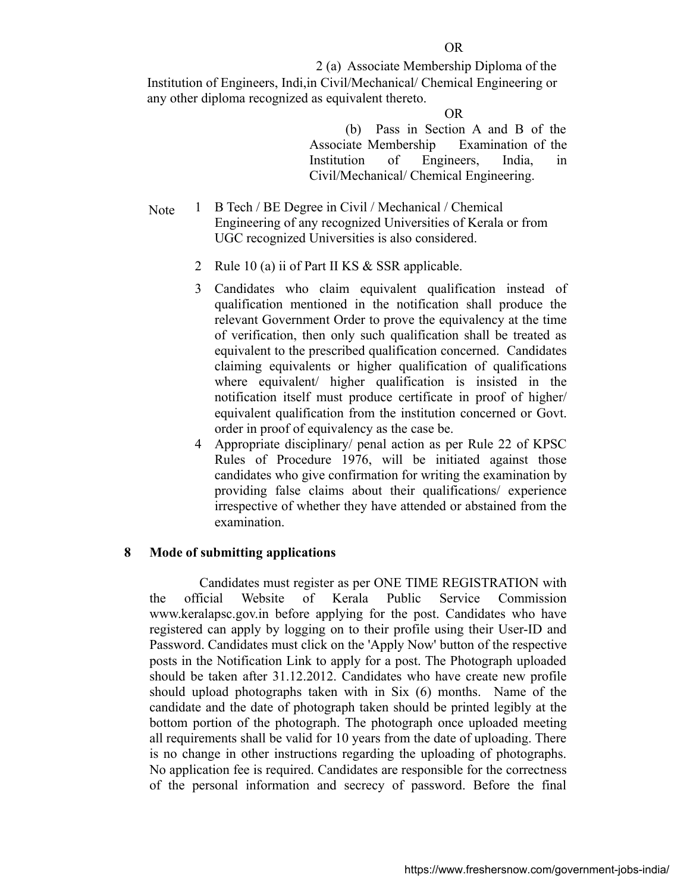2 (a) Associate Membership Diploma of the Institution of Engineers, Indi,in Civil/Mechanical/ Chemical Engineering or any other diploma recognized as equivalent thereto.

#### **OR** OR

 (b) Pass in Section A and B of the Associate Membership Examination of the Institution of Engineers, India, in Civil/Mechanical/ Chemical Engineering.

- Note 1 B Tech / BE Degree in Civil / Mechanical / Chemical Engineering of any recognized Universities of Kerala or from UGC recognized Universities is also considered.
	- 2 Rule 10 (a) ii of Part II KS & SSR applicable.
	- 3 Candidates who claim equivalent qualification instead of qualification mentioned in the notification shall produce the relevant Government Order to prove the equivalency at the time of verification, then only such qualification shall be treated as equivalent to the prescribed qualification concerned. Candidates claiming equivalents or higher qualification of qualifications where equivalent/ higher qualification is insisted in the notification itself must produce certificate in proof of higher/ equivalent qualification from the institution concerned or Govt. order in proof of equivalency as the case be.
	- 4 Appropriate disciplinary/ penal action as per Rule 22 of KPSC Rules of Procedure 1976, will be initiated against those candidates who give confirmation for writing the examination by providing false claims about their qualifications/ experience irrespective of whether they have attended or abstained from the examination.

### **8 Mode of submitting applications**

 Candidates must register as per ONE TIME REGISTRATION with the official Website of Kerala Public Service Commission www.keralapsc.gov.in before applying for the post. Candidates who have registered can apply by logging on to their profile using their User-ID and Password. Candidates must click on the 'Apply Now' button of the respective posts in the Notification Link to apply for a post. The Photograph uploaded should be taken after 31.12.2012. Candidates who have create new profile should upload photographs taken with in Six (6) months. Name of the candidate and the date of photograph taken should be printed legibly at the bottom portion of the photograph. The photograph once uploaded meeting all requirements shall be valid for 10 years from the date of uploading. There is no change in other instructions regarding the uploading of photographs. No application fee is required. Candidates are responsible for the correctness of the personal information and secrecy of password. Before the final